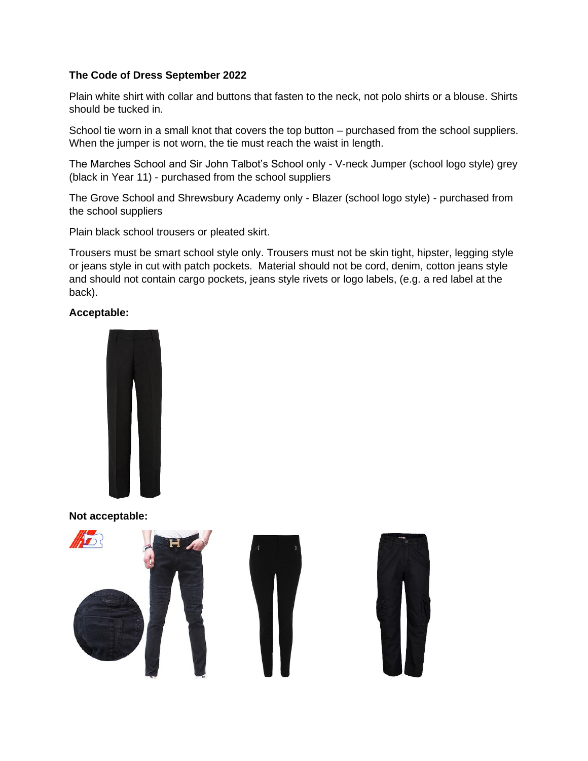## **The Code of Dress September 2022**

Plain white shirt with collar and buttons that fasten to the neck, not polo shirts or a blouse. Shirts should be tucked in.

School tie worn in a small knot that covers the top button – purchased from the school suppliers. When the jumper is not worn, the tie must reach the waist in length.

The Marches School and Sir John Talbot's School only - V-neck Jumper (school logo style) grey (black in Year 11) - purchased from the school suppliers

The Grove School and Shrewsbury Academy only - Blazer (school logo style) - purchased from the school suppliers

Plain black school trousers or pleated skirt.

Trousers must be smart school style only. Trousers must not be skin tight, hipster, legging style or jeans style in cut with patch pockets. Material should not be cord, denim, cotton jeans style and should not contain cargo pockets, jeans style rivets or logo labels, (e.g. a red label at the back).

# **Acceptable:**



**Not acceptable:**

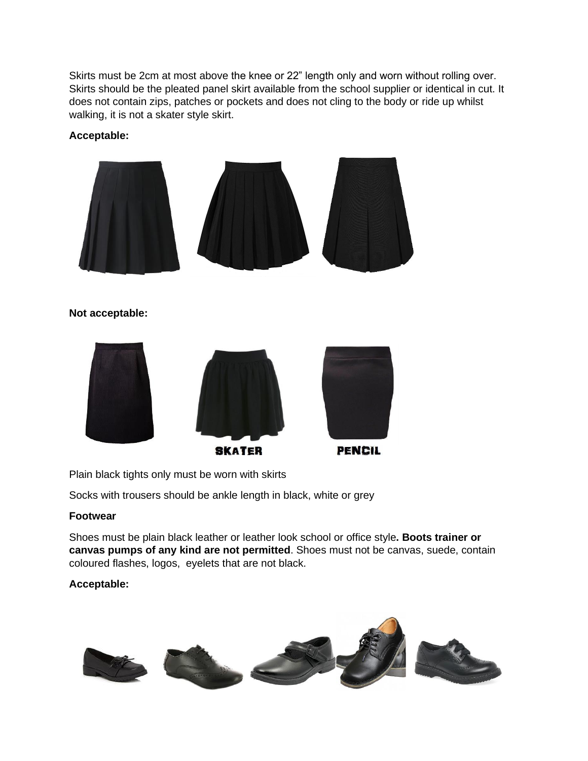Skirts must be 2cm at most above the knee or 22" length only and worn without rolling over. Skirts should be the pleated panel skirt available from the school supplier or identical in cut. It does not contain zips, patches or pockets and does not cling to the body or ride up whilst walking, it is not a skater style skirt.

# **Acceptable:**



# **Not acceptable:**



Plain black tights only must be worn with skirts

Socks with trousers should be ankle length in black, white or grey

## **Footwear**

Shoes must be plain black leather or leather look school or office style**. Boots trainer or canvas pumps of any kind are not permitted**. Shoes must not be canvas, suede, contain coloured flashes, logos, eyelets that are not black.

# **Acceptable:**

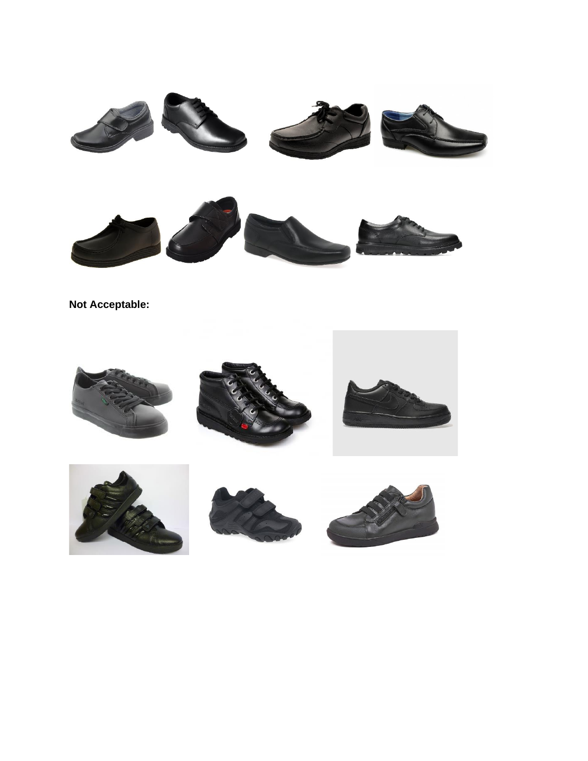

**Not Acceptable:**







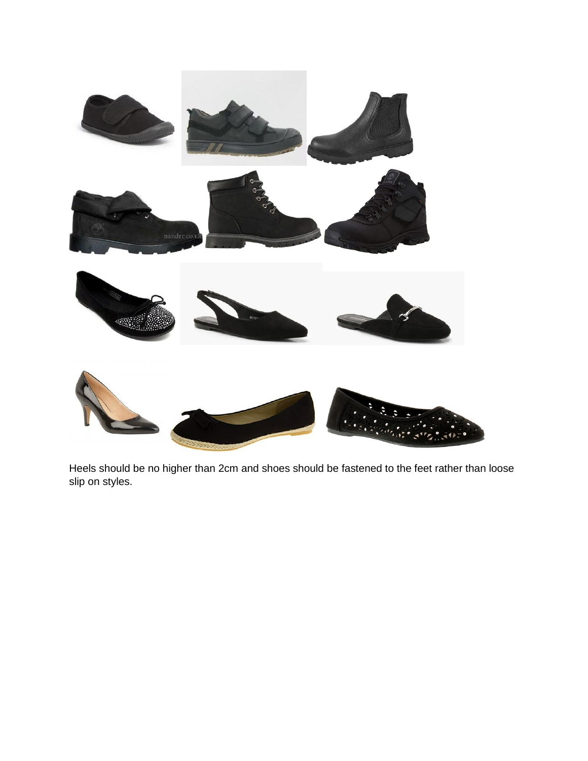

Heels should be no higher than 2cm and shoes should be fastened to the feet rather than loose slip on styles.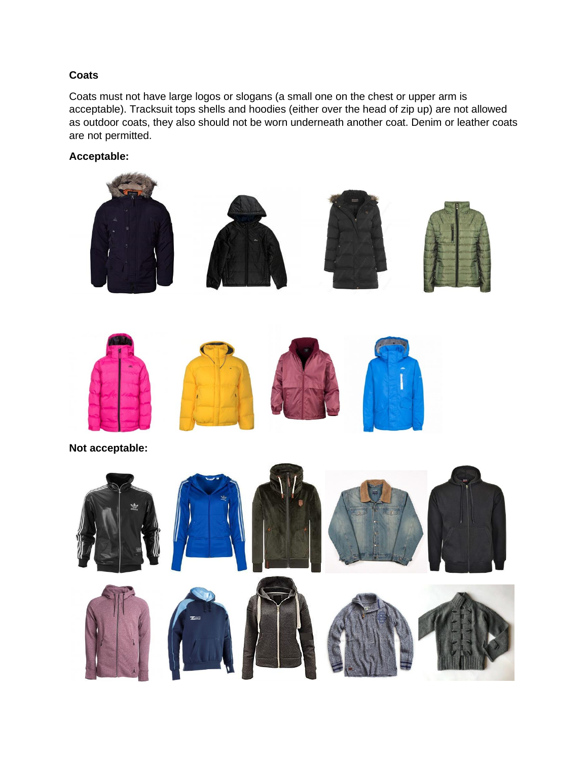# **Coats**

Coats must not have large logos or slogans (a small one on the chest or upper arm is acceptable). Tracksuit tops shells and hoodies (either over the head of zip up) are not allowed as outdoor coats, they also should not be worn underneath another coat. Denim or leather coats are not permitted.

# **Acceptable:**

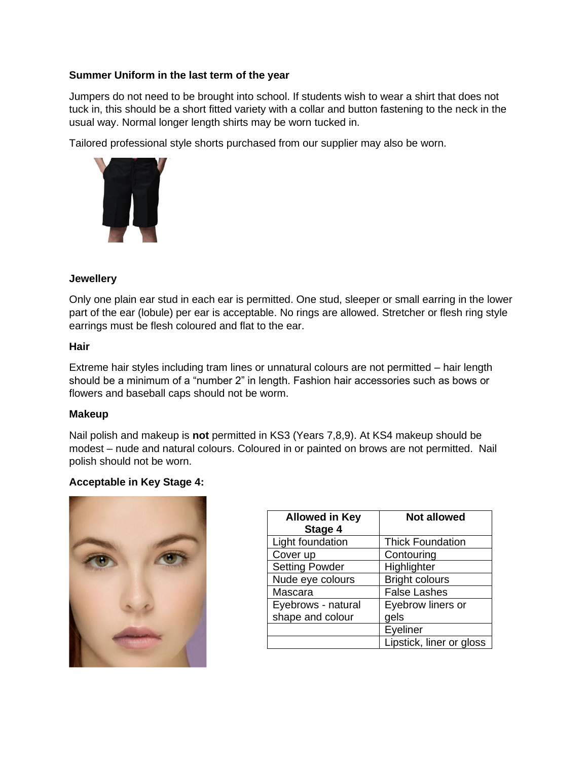### **Summer Uniform in the last term of the year**

Jumpers do not need to be brought into school. If students wish to wear a shirt that does not tuck in, this should be a short fitted variety with a collar and button fastening to the neck in the usual way. Normal longer length shirts may be worn tucked in.

Tailored professional style shorts purchased from our supplier may also be worn.



### **Jewellery**

Only one plain ear stud in each ear is permitted. One stud, sleeper or small earring in the lower part of the ear (lobule) per ear is acceptable. No rings are allowed. Stretcher or flesh ring style earrings must be flesh coloured and flat to the ear.

#### **Hair**

Extreme hair styles including tram lines or unnatural colours are not permitted – hair length should be a minimum of a "number 2" in length. Fashion hair accessories such as bows or flowers and baseball caps should not be worm.

#### **Makeup**

Nail polish and makeup is **not** permitted in KS3 (Years 7,8,9). At KS4 makeup should be modest – nude and natural colours. Coloured in or painted on brows are not permitted. Nail polish should not be worn.

## **Acceptable in Key Stage 4:**



| <b>Allowed in Key</b><br>Stage 4 | <b>Not allowed</b>       |
|----------------------------------|--------------------------|
| Light foundation                 | <b>Thick Foundation</b>  |
| Cover up                         | Contouring               |
| <b>Setting Powder</b>            | Highlighter              |
| Nude eye colours                 | <b>Bright colours</b>    |
| Mascara                          | <b>False Lashes</b>      |
| Eyebrows - natural               | Eyebrow liners or        |
| shape and colour                 | gels                     |
|                                  | Eyeliner                 |
|                                  | Lipstick, liner or gloss |